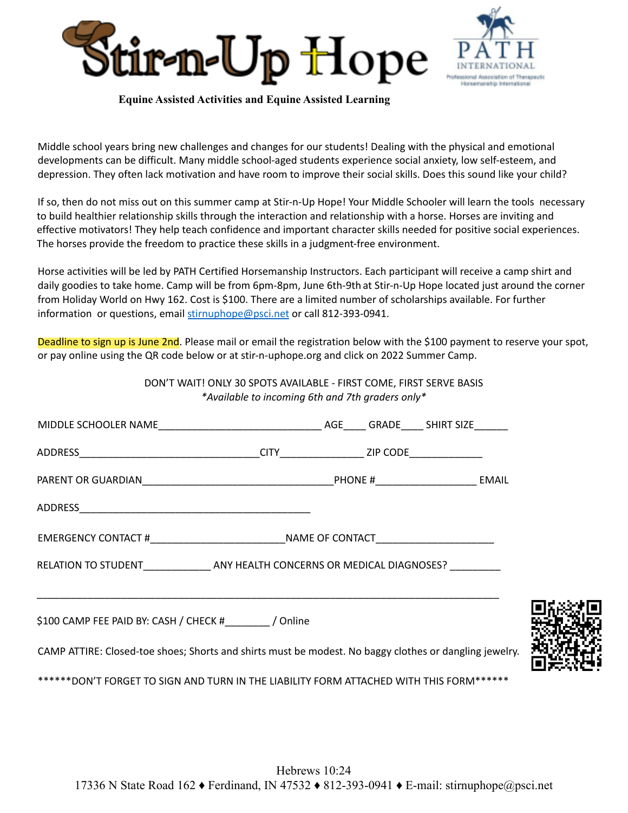



**Equine Assisted Activities and Equine Assisted Learning**

Middle school years bring new challenges and changes for our students! Dealing with the physical and emotional developments can be difficult. Many middle school-aged students experience social anxiety, low self-esteem, and depression. They often lack motivation and have room to improve their social skills. Does this sound like your child?

If so, then do not miss out on this summer camp at Stir-n-Up Hope! Your Middle Schooler will learn the tools necessary to build healthier relationship skills through the interaction and relationship with a horse. Horses are inviting and effective motivators! They help teach confidence and important character skills needed for positive social experiences. The horses provide the freedom to practice these skills in a judgment-free environment.

Horse activities will be led by PATH Certified Horsemanship Instructors. Each participant will receive a camp shirt and daily goodies to take home. Camp will be from 6pm-8pm, June 6th-9th at Stir-n-Up Hope located just around the corner from Holiday World on Hwy 162. Cost is \$100. There are a limited number of scholarships available. For further information or questions, email stirnuphope@psci.net or call 812-393-0941.

Deadline to sign up is June 2nd. Please mail or email the registration below with the \$100 payment to reserve your spot, or pay online using the QR code below or at stir-n-uphope.org and click on 2022 Summer Camp.

DON'T WAIT! ONLY 30 SPOTS AVAILABLE - FIRST COME, FIRST SERVE BASIS *\*Available to incoming 6th and 7th graders only\** MIDDLE SCHOOLER NAME\_\_\_\_\_\_\_\_\_\_\_\_\_\_\_\_\_\_\_\_\_\_\_\_\_\_\_\_\_ AGE\_\_\_\_ GRADE\_\_\_\_ SHIRT SIZE\_\_\_\_\_\_ ADDRESS\_\_\_\_\_\_\_\_\_\_\_\_\_\_\_\_\_\_\_\_\_\_\_\_\_\_\_\_\_\_\_\_CITY\_\_\_\_\_\_\_\_\_\_\_\_\_\_\_ ZIP CODE\_\_\_\_\_\_\_\_\_\_\_\_\_ PARENT OR GUARDIAN\_\_\_\_\_\_\_\_\_\_\_\_\_\_\_\_\_\_\_\_\_\_\_\_\_\_\_\_\_\_\_\_\_\_PHONE #\_\_\_\_\_\_\_\_\_\_\_\_\_\_\_\_\_\_ EMAIL ADDRESS\_\_\_\_\_\_\_\_\_\_\_\_\_\_\_\_\_\_\_\_\_\_\_\_\_\_\_\_\_\_\_\_\_\_\_\_\_\_\_\_\_ EMERGENCY CONTACT # THE RESERVED OF CONTACT THE RESERVED OF CONTACT RELATION TO STUDENT THE ANY HEALTH CONCERNS OR MEDICAL DIAGNOSES? \_\_\_\_\_\_\_\_\_\_\_\_\_\_\_\_\_\_\_\_\_\_\_\_\_\_\_\_\_\_\_\_\_\_\_\_\_\_\_\_\_\_\_\_\_\_\_\_\_\_\_\_\_\_\_\_\_\_\_\_\_\_\_\_\_\_\_\_\_\_\_\_\_\_\_\_\_\_\_\_\_\_ \$100 CAMP FEE PAID BY: CASH / CHECK #\_\_\_\_\_\_\_\_ / Online CAMP ATTIRE: Closed-toe shoes; Shorts and shirts must be modest. No baggy clothes or dangling jewelry. \*\*\*\*\*\*DON'T FORGET TO SIGN AND TURN IN THE LIABILITY FORM ATTACHED WITH THIS FORM\*\*\*\*\*\*